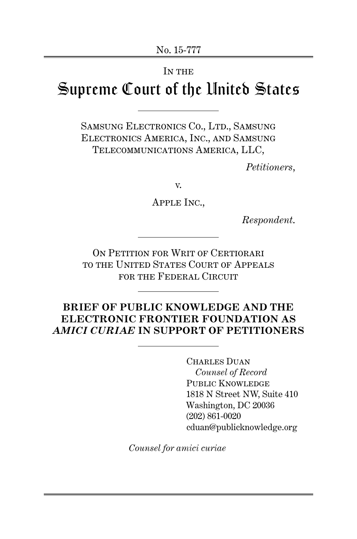#### IN THE

# Supreme Court of the United States

SAMSUNG ELECTRONICS CO., LTD., SAMSUNG Electronics America, Inc., and Samsung Telecommunications America, LLC,

*Petitioners*,

v.

Apple Inc.,

*Respondent*.

ON PETITION FOR WRIT OF CERTIORARI to the United States Court of Appeals FOR THE FEDERAL CIRCUIT

### **BRIEF OF PUBLIC KNOWLEDGE AND THE ELECTRONIC FRONTIER FOUNDATION AS** *AMICI CURIAE* **IN SUPPORT OF PETITIONERS**

Charles Duan *Counsel of Record* PUBLIC KNOWLEDGE 1818 N Street NW, Suite 410 Washington, DC 20036 (202) 861-0020 cduan@publicknowledge.org

*Counsel for amici curiae*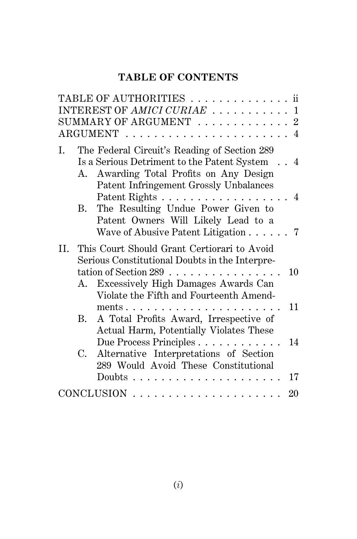## **TABLE OF CONTENTS**

|     |           | TABLE OF AUTHORITIES ii                                                                                                                                                                                          |          |
|-----|-----------|------------------------------------------------------------------------------------------------------------------------------------------------------------------------------------------------------------------|----------|
|     |           | INTEREST OF AMICI CURIAE  1                                                                                                                                                                                      |          |
|     |           | SUMMARY OF ARGUMENT $\ldots \ldots \ldots \ldots 2$                                                                                                                                                              |          |
|     |           | $\text{ARGUMENT}$ 4                                                                                                                                                                                              |          |
| I.  |           | The Federal Circuit's Reading of Section 289<br>Is a Serious Detriment to the Patent System 4<br>A. Awarding Total Profits on Any Design<br>Patent Infringement Grossly Unbalances                               |          |
|     | <b>B.</b> | Patent Rights 4<br>The Resulting Undue Power Given to<br>Patent Owners Will Likely Lead to a<br>Wave of Abusive Patent Litigation 7                                                                              |          |
| II. | А.        | This Court Should Grant Certiorari to Avoid<br>Serious Constitutional Doubts in the Interpre-<br>tation of Section 289 $\dots$<br>Excessively High Damages Awards Can<br>Violate the Fifth and Fourteenth Amend- | 10       |
|     | B.        | ments $\ldots$<br>A Total Profits Award, Irrespective of<br>Actual Harm, Potentially Violates These                                                                                                              | 11       |
|     | C.        | Due Process Principles<br>Alternative Interpretations of Section<br>289 Would Avoid These Constitutional<br>Doubts $\ldots$ $\ldots$ $\ldots$ $\ldots$                                                           | 14<br>17 |
|     |           |                                                                                                                                                                                                                  |          |
|     |           | $CONCLUSION \ldots \ldots \ldots \ldots \ldots \ldots$                                                                                                                                                           | 20       |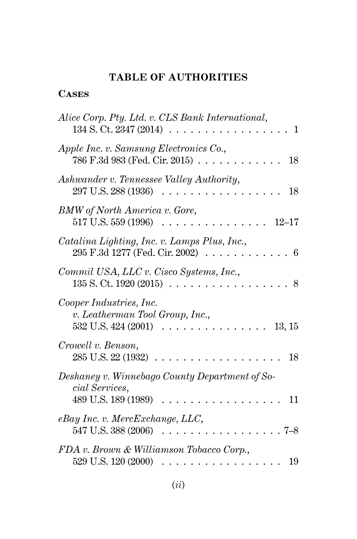## **TABLE OF AUTHORITIES**

## **Cases**

| Alice Corp. Pty. Ltd. v. CLS Bank International,<br>134 S. Ct. 2347 (2014)<br>1               |
|-----------------------------------------------------------------------------------------------|
| Apple Inc. v. Samsung Electronics Co.,<br>786 F.3d 983 (Fed. Cir. 2015)<br>18                 |
| Ashwander v. Tennessee Valley Authority,<br>297 U.S. 288 (1936)<br>18                         |
| <b>BMW</b> of North America v. Gore,<br>517 U.S. 559 (1996)<br>$12 - 17$                      |
| Catalina Lighting, Inc. v. Lamps Plus, Inc.,<br>295 F.3d 1277 (Fed. Cir. 2002)<br>6           |
| Commil USA, LLC v. Cisco Systems, Inc.,<br>135 S. Ct. 1920 (2015)<br>8                        |
| Cooper Industries, Inc.<br>v. Leatherman Tool Group, Inc.,<br>532 U.S. 424 (2001)<br>13, 15   |
| Crowell v. Benson,<br>285 U.S. 22 (1932)<br>18                                                |
| Deshaney v. Winnebago County Department of So-<br>cial Services,<br>489 U.S. 189 (1989)<br>11 |
| eBay Inc. v. MercExchange, LLC,<br>547 U.S. 388 (2006)<br>$7 - 8$                             |
| FDA v. Brown & Williamson Tobacco Corp.,<br>529 U.S. 120 (2000)<br>19                         |
|                                                                                               |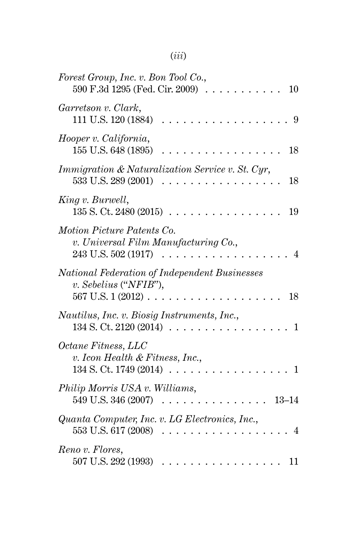## (*iii*)

| Forest Group, Inc. v. Bon Tool Co.,<br>590 F.3d 1295 (Fed. Cir. 2009)<br>10                          |
|------------------------------------------------------------------------------------------------------|
| Garretson v. Clark,<br>111 U.S. 120 (1884)<br>9                                                      |
| Hooper v. California,<br>155 U.S. 648 (1895)<br>18                                                   |
| <i>Immigration &amp; Naturalization Service v. St. Cyr.</i><br>533 U.S. 289 (2001)<br>18             |
| King v. Burwell,<br>135 S. Ct. 2480 (2015)<br>19                                                     |
| Motion Picture Patents Co.<br>v. Universal Film Manufacturing Co.,<br>243 U.S. 502 (1917)<br>4       |
| National Federation of Independent Businesses<br>$v.$ Sebelius ("NFIB"),<br>567 U.S. 1 (2012).<br>18 |
| Nautilus, Inc. v. Biosig Instruments, Inc.,<br>134 S. Ct. 2120 (2014)<br>1                           |
| Octane Fitness, LLC<br>v. Icon Health & Fitness, Inc.,<br>134 S. Ct. 1749 (2014)<br>1                |
| Philip Morris USA v. Williams,<br>549 U.S. 346 (2007)<br>$13 - 14$                                   |
| Quanta Computer, Inc. v. LG Electronics, Inc.,<br>553 U.S. 617 (2008)                                |
| Reno v. Flores,<br>507 U.S. 292 (1993)<br>11                                                         |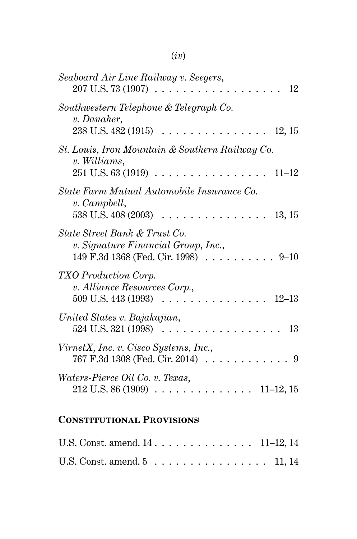| Seaboard Air Line Railway v. Seegers,<br>207 U.S. 73 (1907)<br>12                                                  |
|--------------------------------------------------------------------------------------------------------------------|
| Southwestern Telephone & Telegraph Co.<br>v. Danaher,<br>238 U.S. 482 (1915)<br>12, 15                             |
| St. Louis, Iron Mountain & Southern Railway Co.<br>v. Williams,<br>251 U.S. 63 (1919)<br>$11 - 12$                 |
| State Farm Mutual Automobile Insurance Co.<br>v. Campbell,<br>538 U.S. 408 (2003)<br>13, 15                        |
| State Street Bank & Trust Co.<br>v. Signature Financial Group, Inc.,<br>149 F.3d 1368 (Fed. Cir. 1998)<br>$9 - 10$ |
| TXO Production Corp.<br>v. Alliance Resources Corp.,<br>$12 - 13$<br>509 U.S. 443 (1993)                           |
| United States v. Bajakajian,<br>524 U.S. 321 (1998)<br>13                                                          |
| VirnetX, Inc. v. Cisco Systems, Inc.,<br>767 F.3d 1308 (Fed. Cir. 2014)<br>9                                       |
| Waters-Pierce Oil Co. v. Texas,<br>212 U.S. 86 (1909)<br>$11-12, 15$                                               |
|                                                                                                                    |

## **Constitutional Provisions**

| U.S. Const. amend. $14 \ldots \ldots \ldots \ldots \ldots 11-12, 14$ |  |  |  |  |  |  |  |  |  |
|----------------------------------------------------------------------|--|--|--|--|--|--|--|--|--|
| U.S. Const. amend. $5 \ldots \ldots \ldots \ldots \ldots 11, 14$     |  |  |  |  |  |  |  |  |  |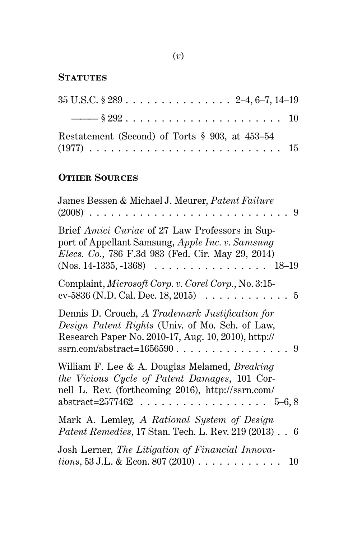## (*v*)

## **STATUTES**

| $35 \text{ U.S.C.} \$ $289 \ldots \ldots \ldots \ldots \ldots \ldots \quad 2-4, 6-7, 14-19$ |  |
|---------------------------------------------------------------------------------------------|--|
|                                                                                             |  |
| Restatement (Second) of Torts § 903, at 453–54                                              |  |
|                                                                                             |  |

## **Other Sources**

| James Bessen & Michael J. Meurer, <i>Patent Failure</i><br>$(2008)$<br>. . 9                                                                                                                                                                |
|---------------------------------------------------------------------------------------------------------------------------------------------------------------------------------------------------------------------------------------------|
| Brief Amici Curiae of 27 Law Professors in Sup-<br>port of Appellant Samsung, Apple Inc. v. Samsung<br><i>Elecs. Co.</i> , 786 F.3d 983 (Fed. Cir. May 29, 2014)<br>$(Nos. 14-1335, -1368) \ldots \ldots \ldots \ldots \ldots \ldots 18-19$ |
| Complaint, Microsoft Corp. v. Corel Corp., No. 3:15-<br>cv-5836 (N.D. Cal. Dec. 18, 2015) $\ldots \ldots \ldots \ldots 5$                                                                                                                   |
| Dennis D. Crouch, A Trademark Justification for<br>Design Patent Rights (Univ. of Mo. Sch. of Law,<br>Research Paper No. 2010-17, Aug. 10, 2010), http://                                                                                   |
| William F. Lee & A. Douglas Melamed, Breaking<br>the Vicious Cycle of Patent Damages, 101 Cor-<br>nell L. Rev. (forthcoming 2016), http://ssrn.com/<br>abstract=2577462 5–6, 8                                                              |
| Mark A. Lemley, A Rational System of Design<br><i>Patent Remedies, 17 Stan. Tech. L. Rev. 219 (2013). . 6</i>                                                                                                                               |
| Josh Lerner, The Litigation of Financial Innova-<br><i>tions</i> , 53 J.L. & Econ. 807 (2010)<br>10                                                                                                                                         |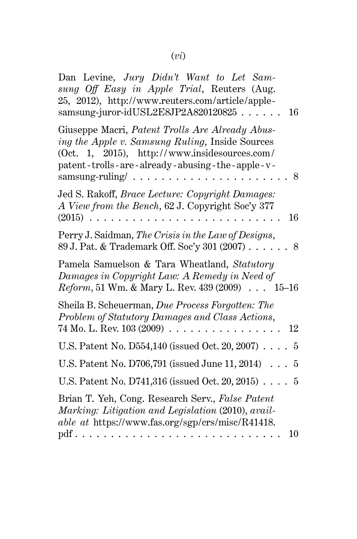| Dan Levine, Jury Didn't Want to Let Sam-<br>sung Off Easy in Apple Trial, Reuters (Aug.<br>25, 2012), http://www.reuters.com/article/apple-<br>samsung-juror-idUSL2E8JP2A820120825.<br>16                  |
|------------------------------------------------------------------------------------------------------------------------------------------------------------------------------------------------------------|
| Giuseppe Macri, Patent Trolls Are Already Abus-<br>ing the Apple v. Samsung Ruling, Inside Sources<br>(Oct. 1, 2015), http://www.insidesources.com/<br>patent-trolls-are-already-abusing-the-apple-v-<br>8 |
| Jed S. Rakoff, <i>Brace Lecture: Copyright Damages:</i><br>A View from the Bench, 62 J. Copyright Soc'y 377<br>16<br>$(2015)$                                                                              |
| Perry J. Saidman, The Crisis in the Law of Designs,<br>89 J. Pat. & Trademark Off. Soc'y 301 (2007)<br>.8                                                                                                  |
| Pamela Samuelson & Tara Wheatland, Statutory<br>Damages in Copyright Law: A Remedy in Need of<br><i>Reform</i> , 51 Wm. & Mary L. Rev. 439 (2009) 15-16                                                    |
| Sheila B. Scheuerman, Due Process Forgotten: The<br>Problem of Statutory Damages and Class Actions,<br>74 Mo. L. Rev. 103 (2009)<br>.<br>12                                                                |
| U.S. Patent No. D554,140 (issued Oct. 20, 2007)<br>$\overline{5}$                                                                                                                                          |
| U.S. Patent No. D706,791 (issued June 11, 2014)<br>5<br>$\ddots$                                                                                                                                           |
| U.S. Patent No. D741,316 (issued Oct. 20, 2015)<br>$\overline{5}$                                                                                                                                          |
| Brian T. Yeh, Cong. Research Serv., False Patent<br>Marking: Litigation and Legislation (2010), avail-<br>able at https://www.fas.org/sgp/crs/misc/R41418.<br>10                                           |
|                                                                                                                                                                                                            |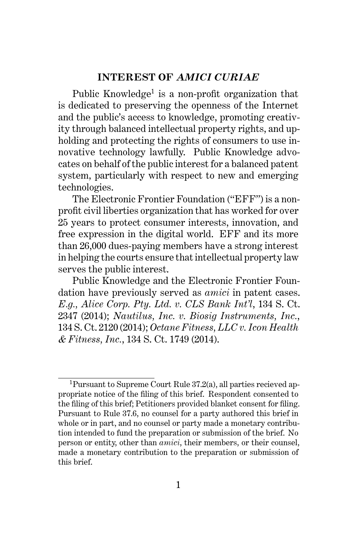#### **INTEREST OF** *AMICI CURIAE*

Public Knowledge<sup>1</sup> is a non-profit organization that is dedicated to preserving the openness of the Internet and the public's access to knowledge, promoting creativity through balanced intellectual property rights, and upholding and protecting the rights of consumers to use innovative technology lawfully. Public Knowledge advocates on behalf of the public interest for a balanced patent system, particularly with respect to new and emerging technologies.

The Electronic Frontier Foundation ("EFF") is a nonprofit civil liberties organization that has worked for over 25 years to protect consumer interests, innovation, and free expression in the digital world. EFF and its more than 26,000 dues-paying members have a strong interest in helping the courts ensure that intellectual property law serves the public interest.

Public Knowledge and the Electronic Frontier Foundation have previously served as *amici* in patent cases. *E.g., Alice Corp. Pty. Ltd. v. CLS Bank Int'l*, 134 S. Ct. 2347 (2014); *Nautilus, Inc. v. Biosig Instruments, Inc.*, 134 S. Ct. 2120 (2014); *Octane Fitness, LLC v. Icon Health & Fitness, Inc.*, 134 S. Ct. 1749 (2014).

<sup>1</sup>Pursuant to Supreme Court Rule 37.2(a), all parties recieved appropriate notice of the filing of this brief. Respondent consented to the filing of this brief; Petitioners provided blanket consent for filing. Pursuant to Rule 37.6, no counsel for a party authored this brief in whole or in part, and no counsel or party made a monetary contribution intended to fund the preparation or submission of the brief. No person or entity, other than *amici*, their members, or their counsel, made a monetary contribution to the preparation or submission of this brief.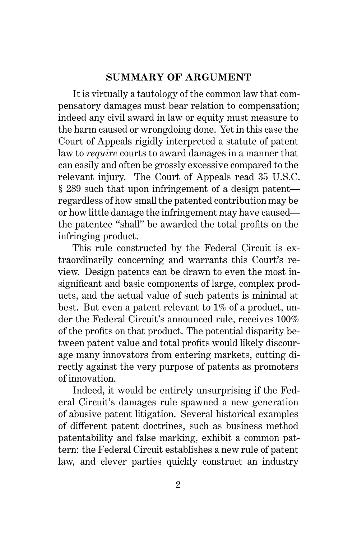#### **SUMMARY OF ARGUMENT**

It is virtually a tautology of the common law that compensatory damages must bear relation to compensation; indeed any civil award in law or equity must measure to the harm caused or wrongdoing done. Yet in this case the Court of Appeals rigidly interpreted a statute of patent law to *require* courts to award damages in a manner that can easily and often be grossly excessive compared to the relevant injury. The Court of Appeals read 35 U.S.C. § 289 such that upon infringement of a design patent regardless of how small the patented contribution may be or how little damage the infringement may have caused the patentee "shall" be awarded the total profits on the infringing product.

This rule constructed by the Federal Circuit is extraordinarily concerning and warrants this Court's review. Design patents can be drawn to even the most insignificant and basic components of large, complex products, and the actual value of such patents is minimal at best. But even a patent relevant to 1% of a product, under the Federal Circuit's announced rule, receives 100% of the profits on that product. The potential disparity between patent value and total profits would likely discourage many innovators from entering markets, cutting directly against the very purpose of patents as promoters of innovation.

Indeed, it would be entirely unsurprising if the Federal Circuit's damages rule spawned a new generation of abusive patent litigation. Several historical examples of different patent doctrines, such as business method patentability and false marking, exhibit a common pattern: the Federal Circuit establishes a new rule of patent law, and clever parties quickly construct an industry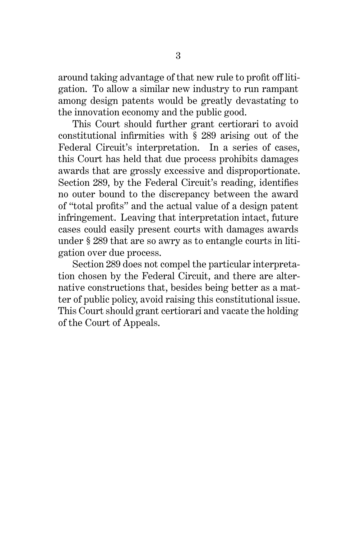around taking advantage of that new rule to profit off litigation. To allow a similar new industry to run rampant among design patents would be greatly devastating to the innovation economy and the public good.

This Court should further grant certiorari to avoid constitutional infirmities with § 289 arising out of the Federal Circuit's interpretation. In a series of cases, this Court has held that due process prohibits damages awards that are grossly excessive and disproportionate. Section 289, by the Federal Circuit's reading, identifies no outer bound to the discrepancy between the award of "total profits" and the actual value of a design patent infringement. Leaving that interpretation intact, future cases could easily present courts with damages awards under § 289 that are so awry as to entangle courts in litigation over due process.

Section 289 does not compel the particular interpretation chosen by the Federal Circuit, and there are alternative constructions that, besides being better as a matter of public policy, avoid raising this constitutional issue. This Court should grant certiorari and vacate the holding of the Court of Appeals.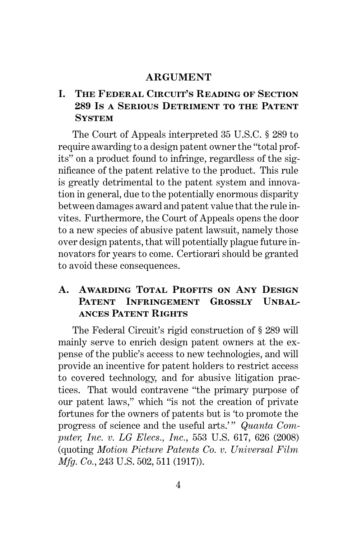#### **ARGUMENT**

## **I. The Federal Circuit's Reading of Section 289 Is a Serious Detriment to the Patent System**

The Court of Appeals interpreted 35 U.S.C. § 289 to require awarding to a design patent owner the "total profits" on a product found to infringe, regardless of the significance of the patent relative to the product. This rule is greatly detrimental to the patent system and innovation in general, due to the potentially enormous disparity between damages award and patent value that the rule invites. Furthermore, the Court of Appeals opens the door to a new species of abusive patent lawsuit, namely those over design patents, that will potentially plague future innovators for years to come. Certiorari should be granted to avoid these consequences.

### **A. Awarding Total Profits on Any Design** PATENT INFRINGEMENT GROSSLY UNBAL**ances Patent Rights**

The Federal Circuit's rigid construction of § 289 will mainly serve to enrich design patent owners at the expense of the public's access to new technologies, and will provide an incentive for patent holders to restrict access to covered technology, and for abusive litigation practices. That would contravene "the primary purpose of our patent laws," which "is not the creation of private fortunes for the owners of patents but is 'to promote the progress of science and the useful arts.'" Quanta Com*puter, Inc. v. LG Elecs., Inc.*, 553 U.S. 617, 626 (2008) (quoting *Motion Picture Patents Co. v. Universal Film Mfg. Co.*, 243 U.S. 502, 511 (1917)).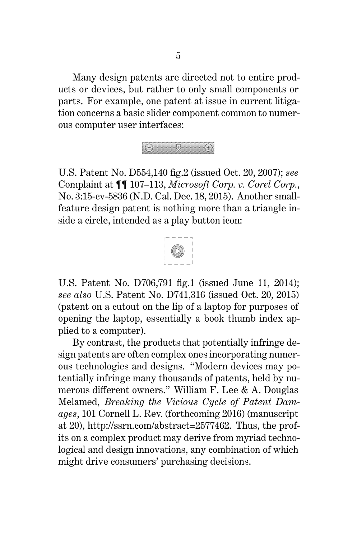Many design patents are directed not to entire products or devices, but rather to only small components or parts. For example, one patent at issue in current litigation concerns a basic slider component common to numerous computer user interfaces:



U.S. Patent No. D554,140 fig.2 (issued Oct. 20, 2007); *see* Complaint at ¶¶ 107–113, *Microsoft Corp. v. Corel Corp.*, No. 3:15-cv-5836 (N.D. Cal. Dec. 18, 2015). Another smallfeature design patent is nothing more than a triangle inside a circle, intended as a play button icon:



U.S. Patent No. D706,791 fig.1 (issued June 11, 2014); *see also* U.S. Patent No. D741,316 (issued Oct. 20, 2015) (patent on a cutout on the lip of a laptop for purposes of opening the laptop, essentially a book thumb index applied to a computer).

By contrast, the products that potentially infringe design patents are often complex ones incorporating numerous technologies and designs. "Modern devices may potentially infringe many thousands of patents, held by numerous different owners." William F. Lee & A. Douglas Melamed, *Breaking the Vicious Cycle of Patent Damages*, 101 Cornell L. Rev. (forthcoming 2016) (manuscript at 20), http://ssrn.com/abstract=2577462. Thus, the profits on a complex product may derive from myriad technological and design innovations, any combination of which might drive consumers' purchasing decisions.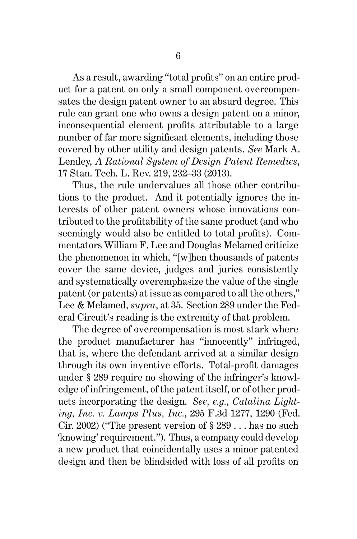As a result, awarding "total profits" on an entire product for a patent on only a small component overcompensates the design patent owner to an absurd degree. This rule can grant one who owns a design patent on a minor, inconsequential element profits attributable to a large number of far more significant elements, including those covered by other utility and design patents. *See* Mark A. Lemley, *A Rational System of Design Patent Remedies*, 17 Stan. Tech. L. Rev. 219, 232–33 (2013).

Thus, the rule undervalues all those other contributions to the product. And it potentially ignores the interests of other patent owners whose innovations contributed to the profitability of the same product (and who seemingly would also be entitled to total profits). Commentators William F. Lee and Douglas Melamed criticize the phenomenon in which, "[w]hen thousands of patents cover the same device, judges and juries consistently and systematically overemphasize the value of the single patent (or patents) at issue as compared to all the others," Lee & Melamed, *supra*, at 35. Section 289 under the Federal Circuit's reading is the extremity of that problem.

The degree of overcompensation is most stark where the product manufacturer has "innocently" infringed, that is, where the defendant arrived at a similar design through its own inventive efforts. Total-profit damages under § 289 require no showing of the infringer's knowledge of infringement, of the patent itself, or of other products incorporating the design. *See, e.g., Catalina Lighting, Inc. v. Lamps Plus, Inc.*, 295 F.3d 1277, 1290 (Fed. Cir. 2002) ("The present version of  $\S 289...$  has no such 'knowing' requirement."). Thus, a company could develop a new product that coincidentally uses a minor patented design and then be blindsided with loss of all profits on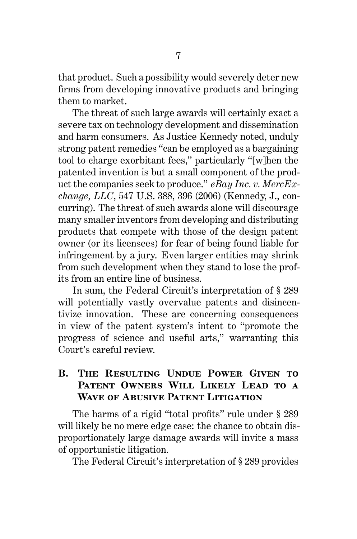that product. Such a possibility would severely deter new firms from developing innovative products and bringing them to market.

The threat of such large awards will certainly exact a severe tax on technology development and dissemination and harm consumers. As Justice Kennedy noted, unduly strong patent remedies "can be employed as a bargaining tool to charge exorbitant fees," particularly "[w]hen the patented invention is but a small component of the product the companies seek to produce." *eBay Inc. v. MercExchange, LLC*, 547 U.S. 388, 396 (2006) (Kennedy, J., concurring). The threat of such awards alone will discourage many smaller inventors from developing and distributing products that compete with those of the design patent owner (or its licensees) for fear of being found liable for infringement by a jury. Even larger entities may shrink from such development when they stand to lose the profits from an entire line of business.

In sum, the Federal Circuit's interpretation of § 289 will potentially vastly overvalue patents and disincentivize innovation. These are concerning consequences in view of the patent system's intent to "promote the progress of science and useful arts," warranting this Court's careful review.

#### **B. The Resulting Undue Power Given to Patent Owners Will Likely Lead to a Wave of Abusive Patent Litigation**

The harms of a rigid "total profits" rule under § 289 will likely be no mere edge case: the chance to obtain disproportionately large damage awards will invite a mass of opportunistic litigation.

The Federal Circuit's interpretation of § 289 provides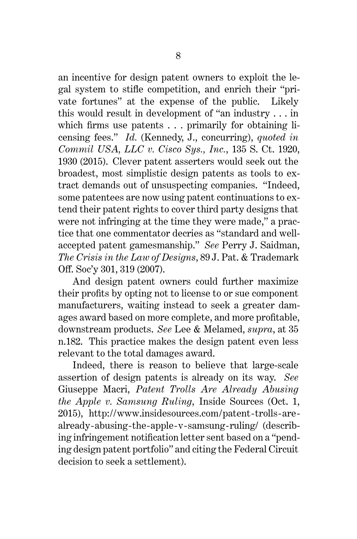an incentive for design patent owners to exploit the legal system to stifle competition, and enrich their "private fortunes" at the expense of the public. Likely this would result in development of "an industry . . . in which firms use patents . . . primarily for obtaining licensing fees." *Id.* (Kennedy, J., concurring), *quoted in Commil USA, LLC v. Cisco Sys., Inc.*, 135 S. Ct. 1920, 1930 (2015). Clever patent asserters would seek out the broadest, most simplistic design patents as tools to extract demands out of unsuspecting companies. "Indeed, some patentees are now using patent continuations to extend their patent rights to cover third party designs that were not infringing at the time they were made," a practice that one commentator decries as "standard and wellaccepted patent gamesmanship." *See* Perry J. Saidman, *The Crisis in the Law of Designs*, 89 J. Pat. & Trademark Off. Soc'y 301, 319 (2007).

And design patent owners could further maximize their profits by opting not to license to or sue component manufacturers, waiting instead to seek a greater damages award based on more complete, and more profitable, downstream products. *See* Lee & Melamed, *supra*, at 35 n.182. This practice makes the design patent even less relevant to the total damages award.

Indeed, there is reason to believe that large-scale assertion of design patents is already on its way. *See* Giuseppe Macri, *Patent Trolls Are Already Abusing the Apple v. Samsung Ruling*, Inside Sources (Oct. 1, 2015), http://www.insidesources.com/patent-trolls-arealready-abusing-the-apple-v-samsung-ruling/ (describing infringement notification letter sent based on a "pending design patent portfolio" and citing the Federal Circuit decision to seek a settlement).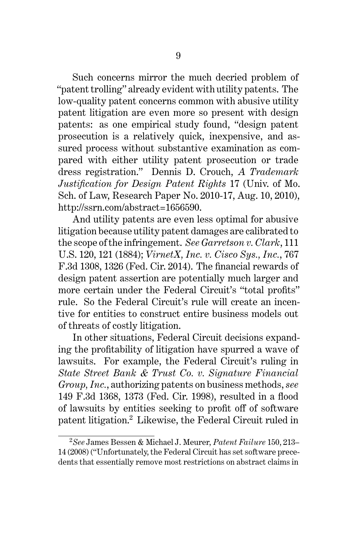Such concerns mirror the much decried problem of "patent trolling" already evident with utility patents. The low-quality patent concerns common with abusive utility patent litigation are even more so present with design patents: as one empirical study found, "design patent prosecution is a relatively quick, inexpensive, and assured process without substantive examination as compared with either utility patent prosecution or trade dress registration." Dennis D. Crouch, *A Trademark Justification for Design Patent Rights* 17 (Univ. of Mo. Sch. of Law, Research Paper No. 2010-17, Aug. 10, 2010), http://ssrn.com/abstract=1656590.

And utility patents are even less optimal for abusive litigation because utility patent damages are calibrated to the scope of the infringement. *See Garretson v. Clark*, 111 U.S. 120, 121 (1884); *VirnetX, Inc. v. Cisco Sys., Inc.*, 767 F.3d 1308, 1326 (Fed. Cir. 2014). The financial rewards of design patent assertion are potentially much larger and more certain under the Federal Circuit's "total profits" rule. So the Federal Circuit's rule will create an incentive for entities to construct entire business models out of threats of costly litigation.

In other situations, Federal Circuit decisions expanding the profitability of litigation have spurred a wave of lawsuits. For example, the Federal Circuit's ruling in *State Street Bank & Trust Co. v. Signature Financial Group, Inc.*, authorizing patents on business methods, *see* 149 F.3d 1368, 1373 (Fed. Cir. 1998), resulted in a flood of lawsuits by entities seeking to profit off of software patent litigation.<sup>2</sup> Likewise, the Federal Circuit ruled in

<sup>2</sup>*See* James Bessen & Michael J. Meurer, *Patent Failure* 150, 213– 14 (2008) ("Unfortunately, the Federal Circuit has set software precedents that essentially remove most restrictions on abstract claims in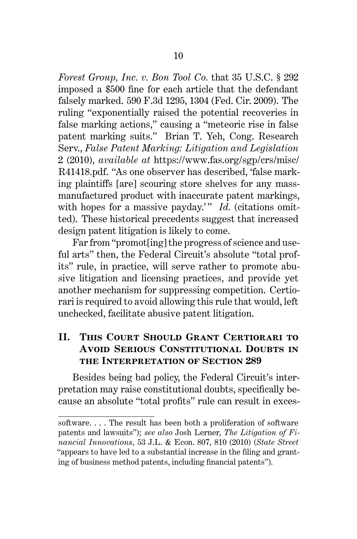*Forest Group, Inc. v. Bon Tool Co.* that 35 U.S.C. § 292 imposed a \$500 fine for each article that the defendant falsely marked. 590 F.3d 1295, 1304 (Fed. Cir. 2009). The ruling "exponentially raised the potential recoveries in false marking actions," causing a "meteoric rise in false patent marking suits." Brian T. Yeh, Cong. Research Serv., *False Patent Marking: Litigation and Legislation* 2 (2010), *available at* https://www.fas.org/sgp/crs/misc/ R41418.pdf. "As one observer has described, 'false marking plaintiffs [are] scouring store shelves for any massmanufactured product with inaccurate patent markings, with hopes for a massive payday.'" *Id.* (citations omitted). These historical precedents suggest that increased design patent litigation is likely to come.

Far from "promot[ing] the progress of science and useful arts" then, the Federal Circuit's absolute "total profits" rule, in practice, will serve rather to promote abusive litigation and licensing practices, and provide yet another mechanism for suppressing competition. Certiorari is required to avoid allowing this rule that would, left unchecked, facilitate abusive patent litigation.

## **II. This Court Should Grant Certiorari to Avoid Serious Constitutional Doubts in the Interpretation of Section 289**

Besides being bad policy, the Federal Circuit's interpretation may raise constitutional doubts, specifically because an absolute "total profits" rule can result in exces-

software. . . . The result has been both a proliferation of software patents and lawsuits"); *see also* Josh Lerner, *The Litigation of Financial Innovations*, 53 J.L. & Econ. 807, 810 (2010) (*State Street* "appears to have led to a substantial increase in the filing and granting of business method patents, including financial patents").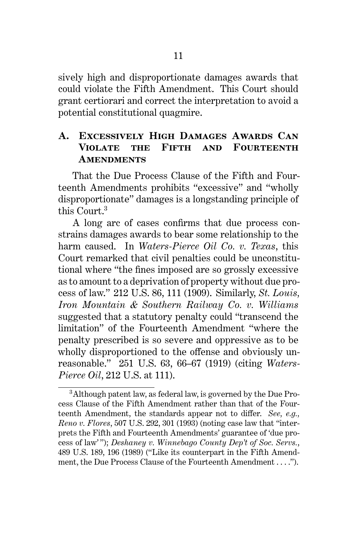sively high and disproportionate damages awards that could violate the Fifth Amendment. This Court should grant certiorari and correct the interpretation to avoid a potential constitutional quagmire.

#### **A. Excessively High Damages Awards Can Violate the Fifth and Fourteenth Amendments**

That the Due Process Clause of the Fifth and Fourteenth Amendments prohibits "excessive" and "wholly disproportionate" damages is a longstanding principle of this Court.<sup>3</sup>

A long arc of cases confirms that due process constrains damages awards to bear some relationship to the harm caused. In *Waters-Pierce Oil Co. v. Texas*, this Court remarked that civil penalties could be unconstitutional where "the fines imposed are so grossly excessive as to amount to a deprivation of property without due process of law." 212 U.S. 86, 111 (1909). Similarly, *St. Louis, Iron Mountain & Southern Railway Co. v. Williams* suggested that a statutory penalty could "transcend the limitation" of the Fourteenth Amendment "where the penalty prescribed is so severe and oppressive as to be wholly disproportioned to the offense and obviously unreasonable." 251 U.S. 63, 66–67 (1919) (citing *Waters-Pierce Oil*, 212 U.S. at 111).

<sup>3</sup>Although patent law, as federal law, is governed by the Due Process Clause of the Fifth Amendment rather than that of the Fourteenth Amendment, the standards appear not to differ. *See, e.g., Reno v. Flores*, 507 U.S. 292, 301 (1993) (noting case law that "interprets the Fifth and Fourteenth Amendments' guarantee of 'due process of law' "); *Deshaney v. Winnebago County Dep't of Soc. Servs.*, 489 U.S. 189, 196 (1989) ("Like its counterpart in the Fifth Amendment, the Due Process Clause of the Fourteenth Amendment . . . .").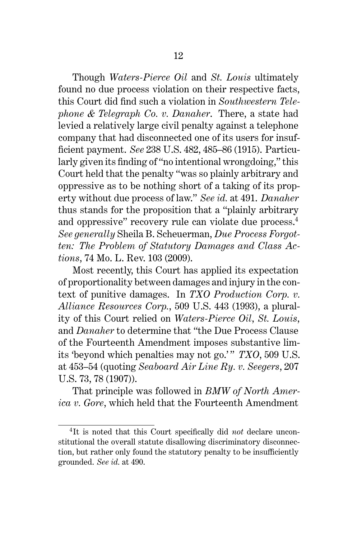Though *Waters-Pierce Oil* and *St. Louis* ultimately found no due process violation on their respective facts, this Court did find such a violation in *Southwestern Telephone & Telegraph Co. v. Danaher*. There, a state had levied a relatively large civil penalty against a telephone company that had disconnected one of its users for insufficient payment. *See* 238 U.S. 482, 485–86 (1915). Particularly given its finding of "no intentional wrongdoing," this Court held that the penalty "was so plainly arbitrary and oppressive as to be nothing short of a taking of its property without due process of law." *See id.* at 491. *Danaher* thus stands for the proposition that a "plainly arbitrary and oppressive" recovery rule can violate due process.<sup>4</sup> *See generally* Sheila B. Scheuerman, *Due Process Forgotten: The Problem of Statutory Damages and Class Actions*, 74 Mo. L. Rev. 103 (2009).

Most recently, this Court has applied its expectation of proportionality between damages and injury in the context of punitive damages. In *TXO Production Corp. v. Alliance Resources Corp.*, 509 U.S. 443 (1993), a plurality of this Court relied on *Waters-Pierce Oil*, *St. Louis*, and *Danaher* to determine that "the Due Process Clause of the Fourteenth Amendment imposes substantive limits 'beyond which penalties may not go.'" *TXO*, 509 U.S. at 453–54 (quoting *Seaboard Air Line Ry. v. Seegers*, 207 U.S. 73, 78 (1907)).

That principle was followed in *BMW of North America v. Gore*, which held that the Fourteenth Amendment

<sup>4</sup> It is noted that this Court specifically did *not* declare unconstitutional the overall statute disallowing discriminatory disconnection, but rather only found the statutory penalty to be insufficiently grounded. *See id.* at 490.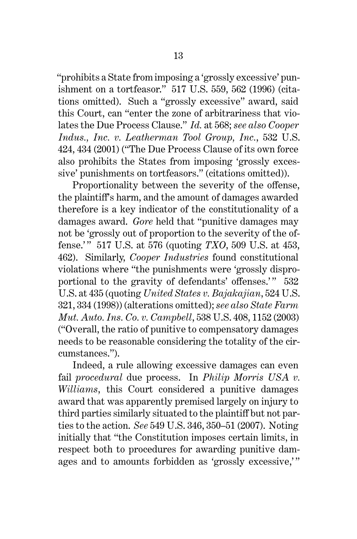"prohibits a State from imposing a 'grossly excessive' punishment on a tortfeasor." 517 U.S. 559, 562 (1996) (citations omitted). Such a "grossly excessive" award, said this Court, can "enter the zone of arbitrariness that violates the Due Process Clause." *Id.* at 568; *see also Cooper Indus., Inc. v. Leatherman Tool Group, Inc.*, 532 U.S. 424, 434 (2001) ("The Due Process Clause of its own force also prohibits the States from imposing 'grossly excessive' punishments on tortfeasors." (citations omitted)).

Proportionality between the severity of the offense, the plaintiff's harm, and the amount of damages awarded therefore is a key indicator of the constitutionality of a damages award. *Gore* held that "punitive damages may not be 'grossly out of proportion to the severity of the offense.' " 517 U.S. at 576 (quoting *TXO*, 509 U.S. at 453, 462). Similarly, *Cooper Industries* found constitutional violations where "the punishments were 'grossly disproportional to the gravity of defendants' offenses.'" 532 U.S. at 435 (quoting *United States v. Bajakajian*, 524 U.S. 321, 334 (1998)) (alterations omitted); *see also State Farm Mut. Auto. Ins. Co. v. Campbell*, 538 U.S. 408, 1152 (2003) ("Overall, the ratio of punitive to compensatory damages needs to be reasonable considering the totality of the circumstances.").

Indeed, a rule allowing excessive damages can even fail *procedural* due process. In *Philip Morris USA v. Williams*, this Court considered a punitive damages award that was apparently premised largely on injury to third parties similarly situated to the plaintiff but not parties to the action. *See* 549 U.S. 346, 350–51 (2007). Noting initially that "the Constitution imposes certain limits, in respect both to procedures for awarding punitive damages and to amounts forbidden as 'grossly excessive,'"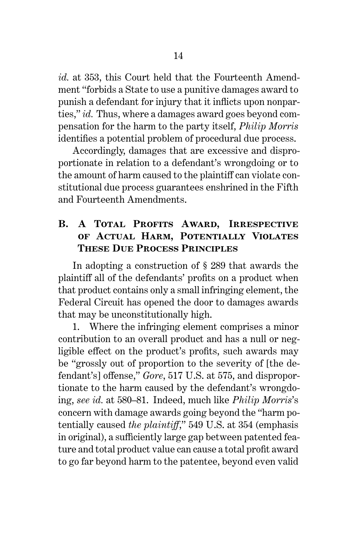*id.* at 353, this Court held that the Fourteenth Amendment "forbids a State to use a punitive damages award to punish a defendant for injury that it inflicts upon nonparties," *id.* Thus, where a damages award goes beyond compensation for the harm to the party itself, *Philip Morris* identifies a potential problem of procedural due process.

Accordingly, damages that are excessive and disproportionate in relation to a defendant's wrongdoing or to the amount of harm caused to the plaintiff can violate constitutional due process guarantees enshrined in the Fifth and Fourteenth Amendments.

## **B. A Total Profits Award, Irrespective of Actual Harm, Potentially Violates These Due Process Principles**

In adopting a construction of § 289 that awards the plaintiff all of the defendants' profits on a product when that product contains only a small infringing element, the Federal Circuit has opened the door to damages awards that may be unconstitutionally high.

1. Where the infringing element comprises a minor contribution to an overall product and has a null or negligible effect on the product's profits, such awards may be "grossly out of proportion to the severity of [the defendant's] offense," *Gore*, 517 U.S. at 575, and disproportionate to the harm caused by the defendant's wrongdoing, *see id.* at 580–81. Indeed, much like *Philip Morris*'s concern with damage awards going beyond the "harm potentially caused *the plaintiff*," 549 U.S. at 354 (emphasis in original), a sufficiently large gap between patented feature and total product value can cause a total profit award to go far beyond harm to the patentee, beyond even valid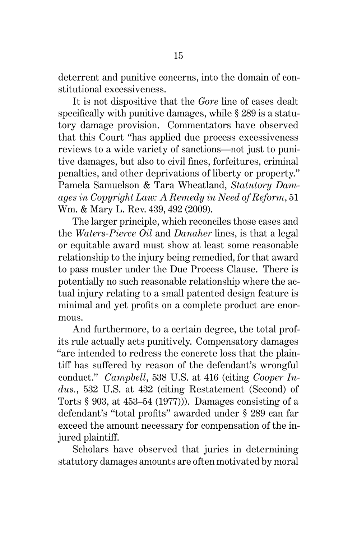stitutional excessiveness. It is not dispositive that the *Gore* line of cases dealt

specifically with punitive damages, while § 289 is a statutory damage provision. Commentators have observed that this Court "has applied due process excessiveness reviews to a wide variety of sanctions—not just to punitive damages, but also to civil fines, forfeitures, criminal penalties, and other deprivations of liberty or property." Pamela Samuelson & Tara Wheatland, *Statutory Damages in Copyright Law: A Remedy in Need of Reform*, 51 Wm. & Mary L. Rev. 439, 492 (2009).

The larger principle, which reconciles those cases and the *Waters-Pierce Oil* and *Danaher* lines, is that a legal or equitable award must show at least some reasonable relationship to the injury being remedied, for that award to pass muster under the Due Process Clause. There is potentially no such reasonable relationship where the actual injury relating to a small patented design feature is minimal and yet profits on a complete product are enormous.

And furthermore, to a certain degree, the total profits rule actually acts punitively. Compensatory damages "are intended to redress the concrete loss that the plaintiff has suffered by reason of the defendant's wrongful conduct." *Campbell*, 538 U.S. at 416 (citing *Cooper Indus.*, 532 U.S. at 432 (citing Restatement (Second) of Torts § 903, at 453–54 (1977))). Damages consisting of a defendant's "total profits" awarded under § 289 can far exceed the amount necessary for compensation of the injured plaintiff.

Scholars have observed that juries in determining statutory damages amounts are often motivated by moral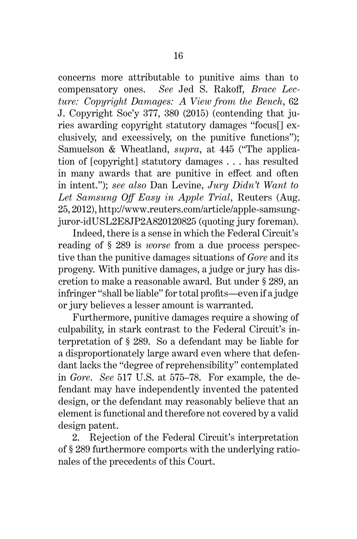concerns more attributable to punitive aims than to compensatory ones. *See* Jed S. Rakoff, *Brace Lecture: Copyright Damages: A View from the Bench*, 62 J. Copyright Soc'y 377, 380 (2015) (contending that juries awarding copyright statutory damages "focus[] exclusively, and excessively, on the punitive functions"); Samuelson & Wheatland, *supra*, at 445 ("The application of [copyright] statutory damages . . . has resulted in many awards that are punitive in effect and often in intent."); *see also* Dan Levine, *Jury Didn't Want to Let Samsung Off Easy in Apple Trial*, Reuters (Aug. 25, 2012), http://www.reuters.com/article/apple-samsungjuror-idUSL2E8JP2A820120825 (quoting jury foreman).

Indeed, there is a sense in which the Federal Circuit's reading of § 289 is *worse* from a due process perspective than the punitive damages situations of *Gore* and its progeny. With punitive damages, a judge or jury has discretion to make a reasonable award. But under § 289, an infringer "shall be liable" for total profits—even if a judge or jury believes a lesser amount is warranted.

Furthermore, punitive damages require a showing of culpability, in stark contrast to the Federal Circuit's interpretation of § 289. So a defendant may be liable for a disproportionately large award even where that defendant lacks the "degree of reprehensibility" contemplated in *Gore*. *See* 517 U.S. at 575–78. For example, the defendant may have independently invented the patented design, or the defendant may reasonably believe that an element is functional and therefore not covered by a valid design patent.

2. Rejection of the Federal Circuit's interpretation of § 289 furthermore comports with the underlying rationales of the precedents of this Court.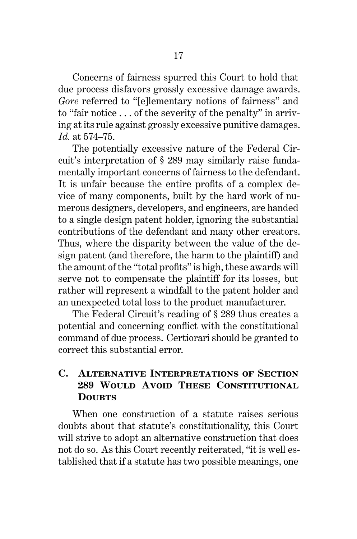Concerns of fairness spurred this Court to hold that due process disfavors grossly excessive damage awards. *Gore* referred to "[e]lementary notions of fairness" and to "fair notice . . . of the severity of the penalty" in arriving at its rule against grossly excessive punitive damages. *Id.* at 574–75.

The potentially excessive nature of the Federal Circuit's interpretation of § 289 may similarly raise fundamentally important concerns of fairness to the defendant. It is unfair because the entire profits of a complex device of many components, built by the hard work of numerous designers, developers, and engineers, are handed to a single design patent holder, ignoring the substantial contributions of the defendant and many other creators. Thus, where the disparity between the value of the design patent (and therefore, the harm to the plaintiff) and the amount of the "total profits" is high, these awards will serve not to compensate the plaintiff for its losses, but rather will represent a windfall to the patent holder and an unexpected total loss to the product manufacturer.

The Federal Circuit's reading of § 289 thus creates a potential and concerning conflict with the constitutional command of due process. Certiorari should be granted to correct this substantial error.

#### **C. Alternative Interpretations of Section 289 Would Avoid These Constitutional DOUBTS**

When one construction of a statute raises serious doubts about that statute's constitutionality, this Court will strive to adopt an alternative construction that does not do so. As this Court recently reiterated, "it is well established that if a statute has two possible meanings, one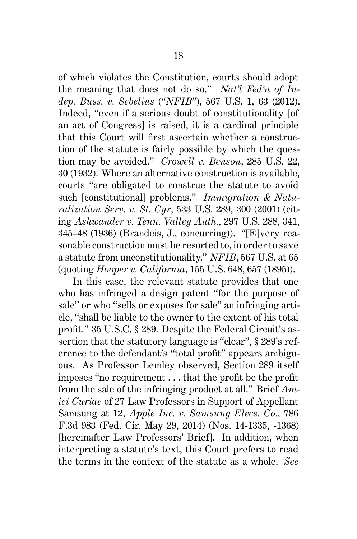of which violates the Constitution, courts should adopt the meaning that does not do so." *Nat'l Fed'n of Indep. Buss. v. Sebelius* ("*NFIB*"), 567 U.S. 1, 63 (2012). Indeed, "even if a serious doubt of constitutionality [of an act of Congress] is raised, it is a cardinal principle that this Court will first ascertain whether a construction of the statute is fairly possible by which the question may be avoided." *Crowell v. Benson*, 285 U.S. 22, 30 (1932). Where an alternative construction is available, courts "are obligated to construe the statute to avoid such [constitutional] problems." *Immigration & Naturalization Serv. v. St. Cyr*, 533 U.S. 289, 300 (2001) (citing *Ashwander v. Tenn. Valley Auth.*, 297 U.S. 288, 341, 345–48 (1936) (Brandeis, J., concurring)). "[E]very reasonable construction must be resorted to, in order to save a statute from unconstitutionality." *NFIB*, 567 U.S. at 65 (quoting *Hooper v. California*, 155 U.S. 648, 657 (1895)).

In this case, the relevant statute provides that one who has infringed a design patent "for the purpose of sale" or who "sells or exposes for sale" an infringing article, "shall be liable to the owner to the extent of his total profit." 35 U.S.C. § 289. Despite the Federal Circuit's assertion that the statutory language is "clear", § 289's reference to the defendant's "total profit" appears ambiguous. As Professor Lemley observed, Section 289 itself imposes "no requirement . . . that the profit be the profit from the sale of the infringing product at all." Brief *Amici Curiae* of 27 Law Professors in Support of Appellant Samsung at 12, *Apple Inc. v. Samsung Elecs. Co.*, 786 F.3d 983 (Fed. Cir. May 29, 2014) (Nos. 14-1335, -1368) [hereinafter Law Professors' Brief]. In addition, when interpreting a statute's text, this Court prefers to read the terms in the context of the statute as a whole. *See*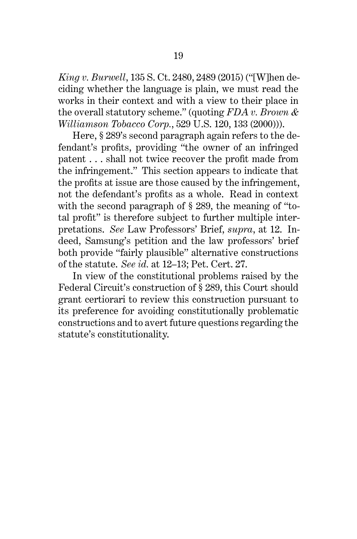*King v. Burwell*, 135 S. Ct. 2480, 2489 (2015) ("[W]hen deciding whether the language is plain, we must read the works in their context and with a view to their place in the overall statutory scheme." (quoting *FDA v. Brown & Williamson Tobacco Corp.*, 529 U.S. 120, 133 (2000))).

Here, § 289's second paragraph again refers to the defendant's profits, providing "the owner of an infringed patent . . . shall not twice recover the profit made from the infringement." This section appears to indicate that the profits at issue are those caused by the infringement, not the defendant's profits as a whole. Read in context with the second paragraph of § 289, the meaning of "total profit" is therefore subject to further multiple interpretations. *See* Law Professors' Brief, *supra*, at 12. Indeed, Samsung's petition and the law professors' brief both provide "fairly plausible" alternative constructions of the statute. *See id.* at 12–13; Pet. Cert. 27.

In view of the constitutional problems raised by the Federal Circuit's construction of § 289, this Court should grant certiorari to review this construction pursuant to its preference for avoiding constitutionally problematic constructions and to avert future questions regarding the statute's constitutionality.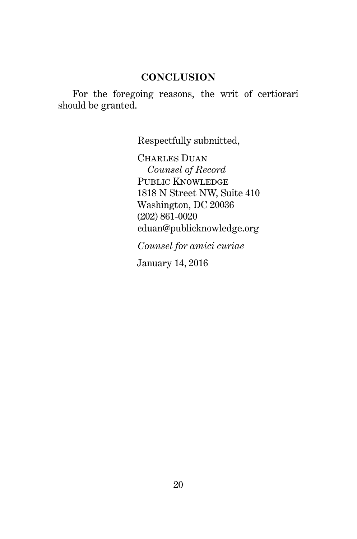#### **CONCLUSION**

For the foregoing reasons, the writ of certiorari should be granted.

Respectfully submitted,

CHARLES DUAN *Counsel of Record* PUBLIC KNOWLEDGE 1818 N Street NW, Suite 410 Washington, DC 20036 (202) 861-0020 cduan@publicknowledge.org

*Counsel for amici curiae*

January 14, 2016